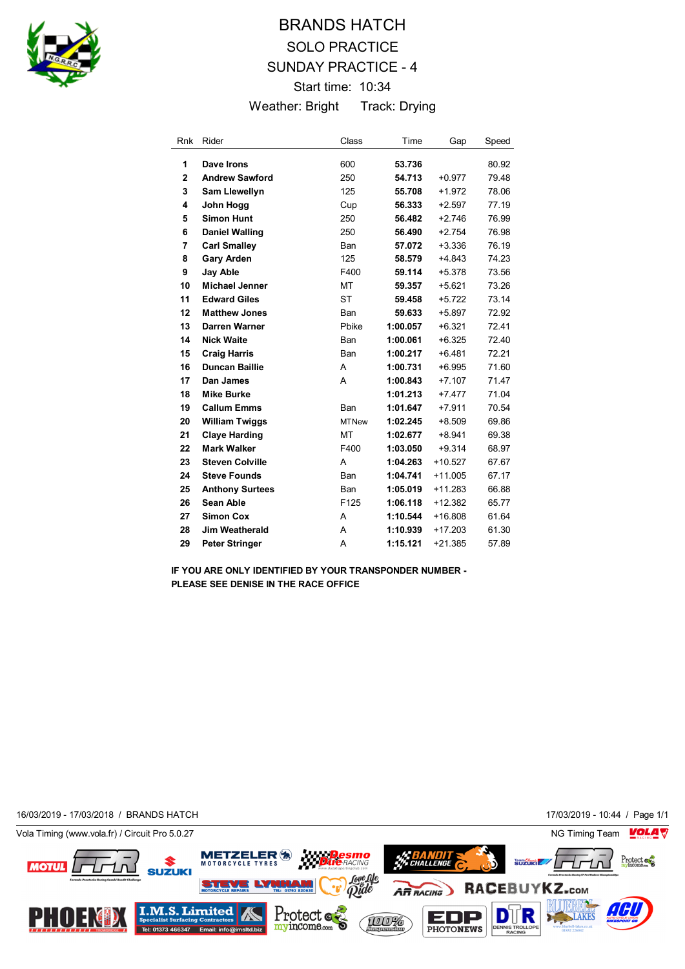

## BRANDS HATCH SOLO PRACTICE SUNDAY PRACTICE - 4 Start time: 10:34 Weather: Bright Track: Drying

| <b>Rnk</b>     | Rider                  | Class            | Time     | Gap       | Speed |
|----------------|------------------------|------------------|----------|-----------|-------|
| 1              | Dave Irons             | 600              | 53.736   |           | 80.92 |
| $\overline{2}$ | <b>Andrew Sawford</b>  | 250              | 54.713   | $+0.977$  | 79.48 |
| 3              | <b>Sam Llewellyn</b>   | 125              | 55.708   | $+1.972$  | 78.06 |
| 4              | John Hogg              | Cup              | 56.333   | $+2.597$  | 77.19 |
| 5              | <b>Simon Hunt</b>      | 250              | 56.482   | $+2.746$  | 76.99 |
| 6              | <b>Daniel Walling</b>  | 250              | 56.490   | $+2.754$  | 76.98 |
| 7              | <b>Carl Smalley</b>    | Ban              | 57.072   | $+3.336$  | 76.19 |
| 8              | <b>Gary Arden</b>      | 125              | 58.579   | $+4.843$  | 74.23 |
| 9              | <b>Jay Able</b>        | F400             | 59.114   | $+5.378$  | 73.56 |
| 10             | <b>Michael Jenner</b>  | МT               | 59.357   | $+5.621$  | 73.26 |
| 11             | <b>Edward Giles</b>    | <b>ST</b>        | 59.458   | $+5.722$  | 73.14 |
| 12             | <b>Matthew Jones</b>   | Ban              | 59.633   | $+5.897$  | 72.92 |
| 13             | Darren Warner          | Phike            | 1:00.057 | $+6.321$  | 72.41 |
| 14             | <b>Nick Waite</b>      | Ban              | 1:00.061 | $+6.325$  | 72.40 |
| 15             | <b>Craig Harris</b>    | Ban              | 1:00.217 | $+6.481$  | 72.21 |
| 16             | <b>Duncan Baillie</b>  | A                | 1:00.731 | $+6.995$  | 71.60 |
| 17             | Dan James              | A                | 1:00.843 | $+7.107$  | 71.47 |
| 18             | Mike Burke             |                  | 1:01.213 | $+7.477$  | 71.04 |
| 19             | <b>Callum Emms</b>     | Ban              | 1:01.647 | $+7.911$  | 70.54 |
| 20             | <b>William Twiggs</b>  | <b>MTNew</b>     | 1:02.245 | $+8.509$  | 69.86 |
| 21             | <b>Claye Harding</b>   | MT               | 1:02.677 | $+8.941$  | 69.38 |
| 22             | <b>Mark Walker</b>     | F400             | 1:03.050 | $+9.314$  | 68.97 |
| 23             | <b>Steven Colville</b> | A                | 1:04.263 | $+10.527$ | 67.67 |
| 24             | <b>Steve Founds</b>    | Ban              | 1:04.741 | $+11.005$ | 67.17 |
| 25             | <b>Anthony Surtees</b> | Ban              | 1:05.019 | $+11.283$ | 66.88 |
| 26             | Sean Able              | F <sub>125</sub> | 1:06.118 | $+12.382$ | 65.77 |
| 27             | <b>Simon Cox</b>       | A                | 1:10.544 | $+16.808$ | 61.64 |
| 28             | Jim Weatherald         | A                | 1:10.939 | $+17.203$ | 61.30 |
| 29             | <b>Peter Stringer</b>  | A                | 1:15.121 | $+21.385$ | 57.89 |

**IF YOU ARE ONLY IDENTIFIED BY YOUR TRANSPONDER NUMBER - PLEASE SEE DENISE IN THE RACE OFFICE**

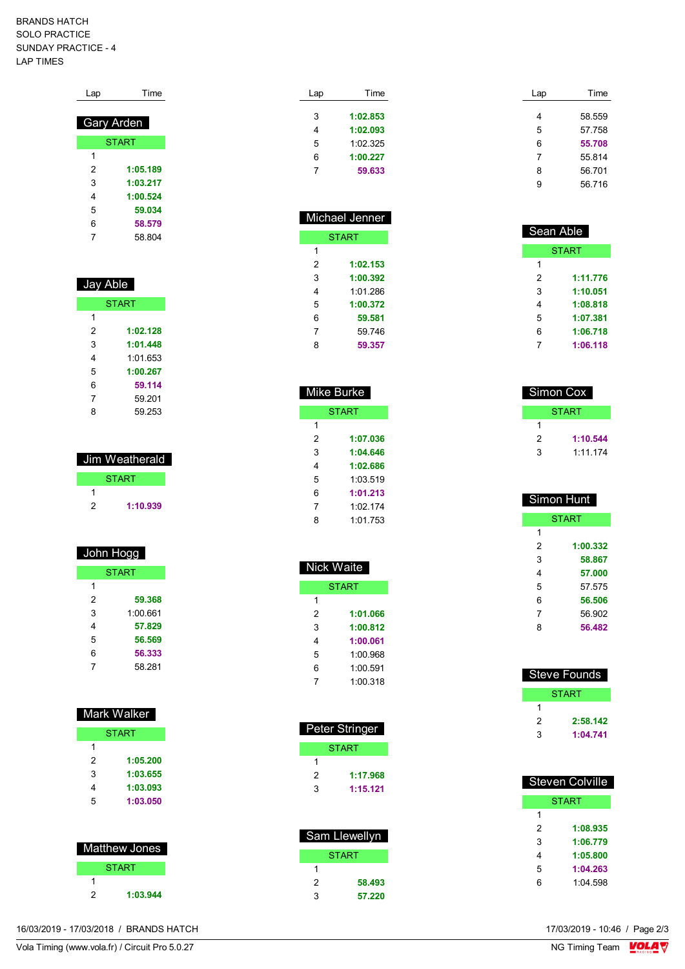## BRANDS HATCH SOLO PRACTICE SUNDAY PRACTICE - 4 LAP TIMES

| Lap | Time              |
|-----|-------------------|
|     | <b>Gary Arden</b> |
|     |                   |
|     | <b>START</b>      |
| 1   |                   |
| 2   | 1:05.189          |
| 3   | 1:03.217          |
| 4   | 1:00.524          |
| 5   | 59.034            |
| 6   | 58.579            |
| 7   | 58 804            |

| Jay Able     |          |  |  |
|--------------|----------|--|--|
| <b>START</b> |          |  |  |
| 1            |          |  |  |
| 2            | 1:02.128 |  |  |
| 3            | 1:01.448 |  |  |
| 4            | 1:01 653 |  |  |
| 5            | 1:00.267 |  |  |
| 6            | 59.114   |  |  |
| 7            | 59 201   |  |  |
| 8            | 59 253   |  |  |
|              |          |  |  |

| Jim Weatherald |              |  |  |
|----------------|--------------|--|--|
|                | <b>START</b> |  |  |
|                |              |  |  |
| 2              | 1:10.939     |  |  |

## John Hogg

| <b>START</b> |          |  |
|--------------|----------|--|
| 1            |          |  |
| 2            | 59.368   |  |
| 3            | 1:00.661 |  |
| 4            | 57.829   |  |
| 5            | 56.569   |  |
| 6            | 56.333   |  |
|              | 58.281   |  |

|  | Mark Walker |  |
|--|-------------|--|
|  |             |  |
|  |             |  |

| 1 |          |
|---|----------|
| 2 | 1:05.200 |
| 3 | 1:03.655 |
| 4 | 1:03.093 |
| 5 | 1:03.050 |

| <b>Matthew Jones</b> |              |  |  |
|----------------------|--------------|--|--|
|                      | <b>START</b> |  |  |
|                      |              |  |  |
| 2                    | 1:03.944     |  |  |

| Lap | Time     |  |
|-----|----------|--|
| 3   | 1:02.853 |  |
| 4   | 1:02.093 |  |
| 5   | 1.02.325 |  |
| 6   | 1:00.227 |  |
|     | 59.633   |  |

| <b>Michael Jenner</b> |          |  |  |  |
|-----------------------|----------|--|--|--|
| <b>START</b>          |          |  |  |  |
| 1                     |          |  |  |  |
| 2                     | 1:02.153 |  |  |  |
| 3                     | 1:00.392 |  |  |  |
| 4                     | 1:01 286 |  |  |  |
| 5                     | 1:00.372 |  |  |  |
| 6                     | 59.581   |  |  |  |
| 7                     | 59.746   |  |  |  |
| 8                     | 59.357   |  |  |  |

| Mike Burke   |          |  |  |
|--------------|----------|--|--|
| <b>START</b> |          |  |  |
| 1            |          |  |  |
| 2            | 1:07.036 |  |  |
| 3            | 1:04.646 |  |  |
| 4            | 1:02.686 |  |  |
| 5            | 1:03.519 |  |  |
| 6            | 1:01.213 |  |  |
| 7            | 1:02 174 |  |  |
| ጸ            | 1 01 753 |  |  |

| Nick Waite |              |  |  |
|------------|--------------|--|--|
|            | <b>START</b> |  |  |
| 1          |              |  |  |
| 2          | 1:01.066     |  |  |
| 3          | 1:00.812     |  |  |
| 4          | 1:00.061     |  |  |
| 5          | 1:00.968     |  |  |
| 6          | 1:00.591     |  |  |
|            | 1:00.318     |  |  |

| <b>Peter Stringer</b> |              |
|-----------------------|--------------|
|                       | <b>START</b> |
|                       |              |
| 2                     | 1:17.968     |
| 3                     | 1:15.121     |

| Sam Llewellyn |        |
|---------------|--------|
|               | START  |
| 1             |        |
| 2             | 58.493 |
| 3             | 57.220 |

| Lap | Time   |
|-----|--------|
|     |        |
| 4   | 58.559 |
| 5   | 57.758 |
| 6   | 55.708 |
| 7   | 55.814 |
| 8   | 56.701 |
| 9   | 56.716 |

| Sean Able |              |
|-----------|--------------|
|           | <b>START</b> |
| 1         |              |
| 2         | 1:11.776     |
| 3         | 1:10.051     |
| 4         | 1:08.818     |
| 5         | 1:07.381     |
| 6         | 1:06.718     |
|           | 1:06.118     |

| Simon Cox |          |
|-----------|----------|
|           | START    |
|           |          |
| 2         | 1:10.544 |
| 3         | 1:11.174 |

| Simon Hunt   |          |
|--------------|----------|
| <b>START</b> |          |
| 1            |          |
| 2            | 1:00.332 |
| 3            | 58.867   |
| 4            | 57.000   |
| 5            | 57 575   |
| 6            | 56.506   |
| 7            | 56.902   |
| 8            | 56.482   |
|              |          |

| Steve Founds |          |
|--------------|----------|
|              | START    |
|              |          |
| 2            | 2:58.142 |
| з            | 1:04.741 |

| Steven Colville |          |
|-----------------|----------|
| <b>START</b>    |          |
| 1               |          |
| 2               | 1:08.935 |
| 3               | 1:06.779 |
| 4               | 1:05.800 |
| 5               | 1:04.263 |
| 6               | 1:04.598 |

16/03/2019 - 17/03/2018 / BRANDS HATCH